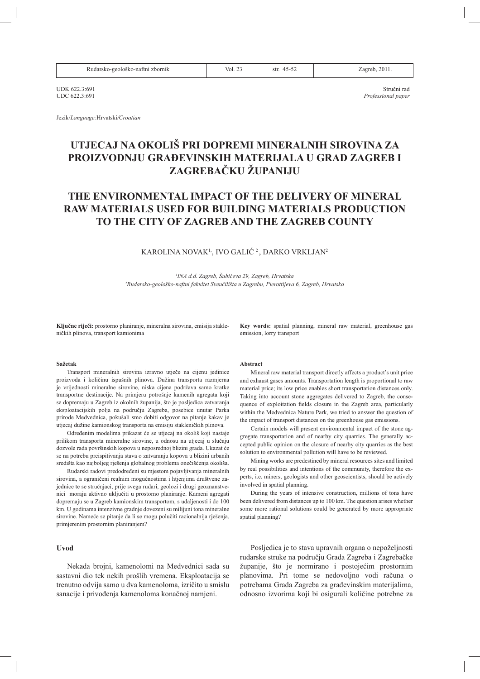| Rudarsko-geološko-naftni zbornik |  |
|----------------------------------|--|
|----------------------------------|--|

 $Vol<sub>23</sub>$ 

 $str$  45-52

Zagreb, 2011.

Stručni rad

Professional paper

**IIDK 6223:691** LIDC 622 3:691

Jezik/Language:Hrvatski/Croatian

# UTJECAJ NA OKOLIŠ PRI DOPREMI MINERALNIH SIROVINA ZA PROIZVODNJU GRAĐEVINSKIH MATERIJALA U GRAD ZAGREB I ZAGREBAČKU ŽUPANIJU

# THE ENVIRONMENTAL IMPACT OF THE DELIVERY OF MINERAL **RAW MATERIALS USED FOR BUILDING MATERIALS PRODUCTION** TO THE CITY OF ZAGREB AND THE ZAGREB COUNTY

# KAROLINA NOVAK<sup>1</sup>, IVO GALIĆ<sup>2</sup>, DARKO VRKLJAN<sup>2</sup>

<sup>1</sup>INA d.d. Zagreb, Šubićeva 29, Zagreb, Hrvatska <sup>2</sup>Rudarsko-geološko-naftni fakultet Sveučilišta u Zagrebu, Pierottijeva 6, Zagreb, Hrvatska

Ključne riječi: prostorno planiranje, mineralna sirovina, emisija stakleničkih plinova, transport kamionima

#### Sažetak

Transport mineralnih sirovina izravno utječe na cijenu jedinice proizvoda i količinu ispušnih plinova. Dužina transporta razmjerna je vrijednosti mineralne sirovine, niska cijena podržava samo kratke transportne destinacije. Na primjeru potrošnje kamenih agregata koji se dopremaju u Zagreb iz okolnih županija, što je posljedica zatvaranja eksploatacijskih polja na području Zagreba, posebice unutar Parka prirode Medvednica, pokušali smo dobiti odgovor na pitanje kakav je utjecaj dužine kamionskog transporta na emisiju stakleničkih plinova.

Određenim modelima prikazat će se utjecaj na okoliš koji nastaje prilikom transporta mineralne sirovine, u odnosu na utjecaj u slučaju dozvole rada površinskih kopova u neposrednoj blizini grada. Ukazat će se na potrebu preispitivanja stava o zatvaranju kopova u blizini urbanih središta kao najboljeg rješenja globalnog problema onečišćenja okoliša.

Rudarski radovi predodređeni su mjestom pojavljivanja mineralnih sirovina, a ograničeni realnim mogućnostima i htjenjima društvene zajednice te se stručnjaci, prije svega rudari, geolozi i drugi geoznanstvenici moraju aktivno uključiti u prostorno planiranje. Kameni agregati dopremaju se u Zagreb kamionskim transportom, s udaljenosti i do 100 km. U godinama intenzivne gradnje dovezeni su milijuni tona mineralne sirovine. Nameće se pitanje da li se mogu polučiti racionalnija rješenja, primjerenim prostornim planiranjem?

### Uvod

Nekada brojni, kamenolomi na Medvednici sada su sastavni dio tek nekih prošlih vremena. Eksploatacija se trenutno odvija samo u dva kamenoloma, izričito u smislu sanacije i privođenja kamenoloma konačnoj namjeni.

Key words: spatial planning, mineral raw material, greenhouse gas emission, lorry transport

#### Abstract

Mineral raw material transport directly affects a product's unit price and exhaust gases amounts. Transportation length is proportional to raw material price; its low price enables short transportation distances only. Taking into account stone aggregates delivered to Zagreb, the consequence of exploitation fields closure in the Zagreb area, particularly within the Medvednica Nature Park, we tried to answer the question of the impact of transport distances on the greenhouse gas emissions.

Certain models will present environmental impact of the stone aggregate transportation and of nearby city quarries. The generally accepted public opinion on the closure of nearby city quarries as the best solution to environmental pollution will have to be reviewed.

Mining works are predestined by mineral resources sites and limited by real possibilities and intentions of the community, therefore the experts, i.e. miners, geologists and other geoscientists, should be actively involved in spatial planning.

During the years of intensive construction, millions of tons have been delivered from distances up to 100 km. The question arises whether some more rational solutions could be generated by more appropriate spatial planning?

Posliedica je to stava upravnih organa o nepoželinosti rudarske struke na području Grada Zagreba i Zagrebačke županije, što je normirano i postojećim prostornim planovima. Pri tome se nedovoljno vodi računa o potrebama Grada Zagreba za građevinskim materijalima, odnosno izvorima koji bi osigurali količine potrebne za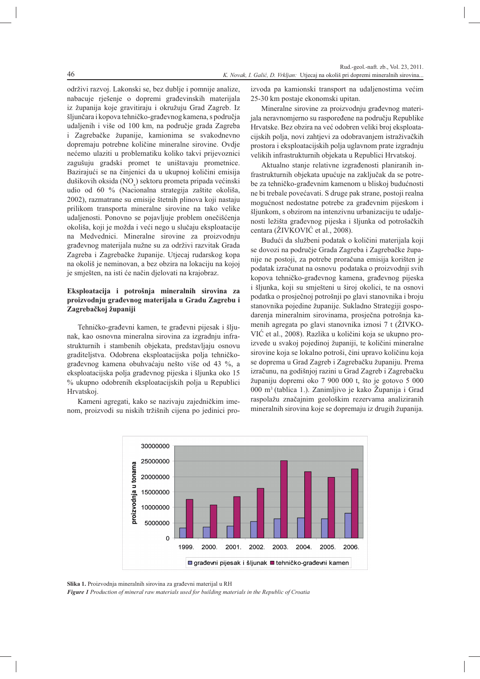održivi razvoj. Lakonski se, bez dublje i pomnije analize, nabacuje rješenje o dopremi građevinskih materijala iz županija koje gravitiraju i okružuju Grad Zagreb. Iz šljunčara i kopova tehničko-građevnog kamena, s područja udaljenih i više od 100 km, na područje grada Zagreba i Zagrebačke županije, kamionima se svakodnevno dopremaju potrebne količine mineralne sirovine. Ovdje nećemo ulaziti u problematiku koliko takvi prijevoznici zagušuju gradski promet te uništavaju prometnice. Bazirajući se na činjenici da u ukupnoj količini emisija dušikovih oksida (NO) sektoru prometa pripada većinski udio od 60 % (Nacionalna strategija zaštite okoliša, 2002), razmatrane su emisije štetnih plinova koji nastaju prilikom transporta mineralne sirovine na tako velike udaljenosti. Ponovno se pojavljuje problem onečišćenja okoliša, koji je možda i veći nego u slučaju eksploatacije na Medvednici. Mineralne sirovine za proizvodnju građevnog materijala nužne su za održivi razvitak Grada Zagreba i Zagrebačke županije. Utjecaj rudarskog kopa na okoliš je neminovan, a bez obzira na lokaciju na kojoj je smješten, na isti će način djelovati na krajobraz.

46

# Eksploatacija i potrošnja mineralnih sirovina za proizvodnju građevnog materijala u Gradu Zagrebu i Zagrebačkoj županiji

Tehničko-građevni kamen, te građevni pijesak i šljunak, kao osnovna mineralna sirovina za izgradnju infrastrukturnih i stambenih objekata, predstavljaju osnovu graditeljstva. Odobrena eksploatacijska polja tehničkograđevnog kamena obuhvaćaju nešto više od 43 %, a eksploatacijska polja građevnog pijeska i šljunka oko 15 % ukupno odobrenih eksploatacijskih polja u Republici Hrvatskoj.

Kameni agregati, kako se nazivaju zajedničkim imenom, proizvodi su niskih tržišnih cijena po jedinici proizvoda pa kamionski transport na udaljenostima većim 25-30 km postaje ekonomski upitan.

Mineralne sirovine za proizvodnju građevnog materijala neravnomjerno su raspoređene na području Republike Hrvatske. Bez obzira na već odobren veliki broj eksploatacijskih polja, novi zahtjevi za odobravanjem istraživačkih prostora i eksploatacijskih polja uglavnom prate izgradnju velikih infrastrukturnih objekata u Republici Hrvatskoj.

Aktualno stanie relativne izgrađenosti planiranih infrastrukturnih objekata upućuje na zaključak da se potrebe za tehničko-građevnim kamenom u bliskoj budućnosti ne bi trebale povećavati. S druge pak strane, postoji realna mogućnost nedostatne potrebe za građevnim pijeskom i šljunkom, s obzirom na intenzivnu urbanizaciju te udaljenosti ležišta građevnog pijeska i šljunka od potrošačkih centara (ŽIVKOVIĆ et al., 2008).

Budući da službeni podatak o količini materijala koji se dovozi na područje Grada Zagreba i Zagrebačke županije ne postoji, za potrebe proračuna emisija korišten je podatak izračunat na osnovu podataka o proizvodnji svih kopova tehničko-građevnog kamena, građevnog pijeska i šljunka, koji su smješteni u široj okolici, te na osnovi podatka o prosječnoj potrošnji po glavi stanovnika i broju stanovnika pojedine županije. Sukladno Strategiji gospodarenja mineralnim sirovinama, prosječna potrošnja kamenih agregata po glavi stanovnika iznosi 7 t (ŽIVKO-VIĆ et al., 2008). Razlika u količini koja se ukupno proizvede u svakoj pojedinoj županiji, te količini mineralne sirovine koja se lokalno potroši, čini upravo količinu koja se doprema u Grad Zagreb i Zagrebačku županiju. Prema izračunu, na godišnjoj razini u Grad Zagreb i Zagrebačku županiju dopremi oko 7 900 000 t, što je gotovo 5 000 000 m<sup>3</sup> (tablica 1.). Zanimljivo je kako Županija i Grad raspolažu značajnim geološkim rezervama analiziranih mineralnih sirovina koje se dopremaju iz drugih županija.



Slika 1. Proizvodnja mineralnih sirovina za građevni materijal u RH

Figure 1 Production of mineral raw materials used for building materials in the Republic of Croatia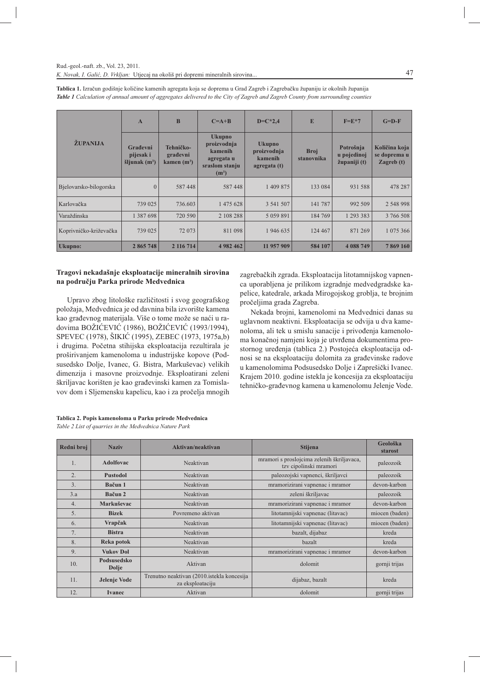|                        | $\mathbf{A}$                             | B                                      | $C=A+B$                                                                            | $D=C*2,4$                                               | E                         | $F = E*7$                                | $G=D-F$                                       |
|------------------------|------------------------------------------|----------------------------------------|------------------------------------------------------------------------------------|---------------------------------------------------------|---------------------------|------------------------------------------|-----------------------------------------------|
| ŽUPANIJA               | Građevni<br>pijesak i<br>šljunak $(m^3)$ | Tehničko-<br>građevni<br>kamen $(m^3)$ | <b>Ukupno</b><br>proizvodnja<br>kamenih<br>agregata u<br>sraslom stanju<br>$(m^3)$ | <b>Ukupno</b><br>proizvodnja<br>kamenih<br>agregata (t) | <b>Broj</b><br>stanovnika | Potrošnja<br>u pojedinoj<br>županiji (t) | Količina koja<br>se doprema u<br>Zagreb $(t)$ |
| Bjelovarsko-bilogorska | $\Omega$                                 | 587448                                 | 587448                                                                             | 1 409 875                                               | 133 084                   | 931 588                                  | 478 287                                       |
| Karlovačka             | 739 025                                  | 736.603                                | 1 475 628                                                                          | 3 541 507                                               | 141 787                   | 992 509                                  | 2 548 998                                     |
| Varaždinska            | 1 387 698                                | 720 590                                | 2 108 288                                                                          | 5 0 5 9 8 9 1                                           | 184 769                   | 1 293 383                                | 3 766 508                                     |
| Koprivničko-križevačka | 739 025                                  | 72 073                                 | 811 098                                                                            | 1946635                                                 | 124 467                   | 871 269                                  | 1 075 366                                     |
| <b>Ukupno:</b>         | 2 865 748                                | 2 116 714                              | 4 982 462                                                                          | 11 957 909                                              | 584 107                   | 4 088 749                                | 7869160                                       |

Tablica 1. Izračun godišnje količine kamenih agregata koja se doprema u Grad Zagreb i Zagrebačku županiju iz okolnih županija Table 1 Calculation of annual amount of aggregates delivered to the City of Zagreb and Zagreb County from surrounding counties

## Tragovi nekadašnje eksploatacije mineralnih sirovina na području Parka prirode Medvednica

Upravo zbog litološke različitosti i svog geografskog položaja, Medvednica je od davnina bila izvorište kamena kao građevnog materijala. Više o tome može se naći u radovima BOŽIĆEVIĆ (1986), BOŽIĆEVIĆ (1993/1994), SPEVEC (1978), ŠIKIĆ (1995), ZEBEC (1973, 1975a,b) i drugima. Početna stihijska eksploatacija rezultirala je proširivanjem kamenoloma u industrijske kopove (Podsusedsko Dolje, Ivanec, G. Bistra, Markuševac) velikih dimenzija i masovne proizvodnje. Eksploatirani zeleni škriljavac korišten je kao građevinski kamen za Tomislavov dom i Sljemensku kapelicu, kao i za pročelja mnogih

zagrebačkih zgrada. Eksploatacija litotamnijskog vapnenca uporabljena je prilikom izgradnje medvedgradske kapelice, katedrale, arkada Mirogojskog groblja, te brojnim pročeljima grada Zagreba.

Nekada brojni, kamenolomi na Medvednici danas su uglavnom neaktivni. Eksploatacija se odvija u dva kamenoloma, ali tek u smislu sanacije i privođenja kamenoloma konačnoj namjeni koja je utvrđena dokumentima prostornog uređenja (tablica 2.) Postojeća eksploatacija odnosi se na eksploataciju dolomita za građevinske radove u kamenolomima Podsusedsko Dolje i Zaprešički Ivanec. Krajem 2010. godine istekla je koncesija za eksploataciju tehničko-građevnog kamena u kamenolomu Jelenje Vode.

| Tablica 2. Popis kamenoloma u Parku prirode Medvednica |
|--------------------------------------------------------|
| Table 2 List of quarries in the Medvednica Nature Park |

| Redni broj       | <b>Naziv</b>         | Aktivan/neaktivan                                              | Stijena                                                              | Geološka<br>starost |
|------------------|----------------------|----------------------------------------------------------------|----------------------------------------------------------------------|---------------------|
| 1.               | <b>Adolfovac</b>     | Neaktivan                                                      | mramori s proslojcima zelenih škriljavaca,<br>tzv cipolinski mramori | paleozoik           |
| $\overline{2}$ . | <b>Pustodol</b>      | Neaktivan                                                      | paleozojski vapnenci, škriljavci                                     | paleozoik           |
| $\overline{3}$ . | Bačun 1              | Neaktivan                                                      | mramorizirani vapnenac i mramor                                      | devon-karbon        |
| 3.a              | Bačun <sub>2</sub>   | Neaktivan                                                      | zeleni škriljavac                                                    | paleozoik           |
| 4.               | Markuševac           | Neaktivan                                                      | mramorizirani vapnenac i mramor                                      | devon-karbon        |
| 5.               | <b>Bizek</b>         | Povremeno aktivan                                              | litotamnijski vapnenac (litavac)                                     | miocen (baden)      |
| 6.               | Vrapčak              | Neaktivan                                                      | litotamnijski vapnenac (litavac)                                     | miocen (baden)      |
| 7.               | <b>Bistra</b>        | Neaktivan                                                      | bazalt, dijabaz                                                      | kreda               |
| 8.               | Reka potok           | Neaktivan                                                      | bazalt                                                               | kreda               |
| 9.               | <b>Vukov Dol</b>     | Neaktivan                                                      | mramorizirani vapnenac i mramor                                      | devon-karbon        |
| 10.              | Podsusedsko<br>Dolje | Aktivan                                                        | dolomit                                                              | gornji trijas       |
| 11.              | Jelenje Vode         | Trenutno neaktivan (2010.istekla koncesija<br>za eksploataciju | dijabaz, bazalt                                                      | kreda               |
| 12.              | <b>Ivanec</b>        | Aktivan                                                        | dolomit                                                              | gornji trijas       |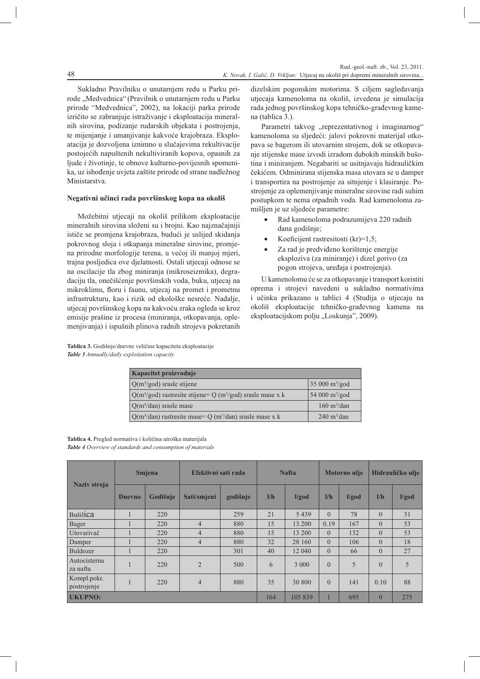Sukladno Pravilniku o unutarnjem redu u Parku prirode "Medvednica" (Pravilnik o unutarnjem redu u Parku prirode "Medvednica", 2002), na lokaciji parka prirode izričito se zabranjuje istraživanje i eksploatacija mineralnih sirovina, podizanje rudarskih objekata i postrojenja, te mijenjanje i umanjivanje kakvoće krajobraza. Eksploatacija je dozvoljena iznimno u slučajevima rekultivacije postojećih napuštenih nekultiviranih kopova, opasnih za ljude i životinje, te obnove kulturno-povijesnih spomenika, uz ishođenje uvjeta zaštite prirode od strane nadležnog Ministarstva.

## Negativni učinci rada površinskog kopa na okoliš

Možebitni utjecaji na okoliš prilikom eksploatacije mineralnih sirovina složeni su i brojni. Kao najznačajniji ističe se promjena krajobraza, budući je uslijed skidanja pokrovnog sloja i otkapanja mineralne sirovine, promjena prirodne morfologije terena, u većoj ili manjoj mjeri, trajna posljedica ove djelatnosti. Ostali utjecaji odnose se na oscilacije tla zbog miniranja (mikroseizmika), degradaciju tla, onečišćenje površinskih voda, buku, utjecaj na mikroklimu, floru i faunu, utiecai na promet i prometnu infrastrukturu, kao i rizik od ekološke nesreće. Nadalje, utjecaj površinskog kopa na kakvoću zraka ogleda se kroz emisije prašine iz procesa (miniranja, otkopavanja, oplemenjivanja) i ispušnih plinova radnih strojeva pokretanih

dizelskim pogonskim motorima. S ciljem sagledavanja utjecaja kamenoloma na okoliš, izvedena je simulacija rada jednog površinskog kopa tehničko-građevnog kamena (tablica 3.).

Parametri takvog "reprezentativnog i imaginarnog" kamenoloma su sljedeći: jalovi pokrovni materijal otkopava se bagerom ili utovarnim strojem, dok se otkopavanje stijenske mase izvodi izradom dubokih minskih bušotina i miniranjem. Negabariti se usitnjavaju hidrauličkim čekićem. Odminirana stijenska masa utovara se u damper i transportira na postrojenje za sitnjenje i klasiranje. Postrojenje za oplemenjivanje mineralne sirovine radi suhim postupkom te nema otpadnih voda. Rad kamenoloma zamišljen je uz sljedeće parametre:

- Rad kamenoloma podrazumijeva 220 radnih dana godišnie:
- Koeficijent rastresitosti  $(kr)=1,5$ ;
- Za rad je predviđeno korištenje energije eksploziva (za miniranje) i dizel gorivo (za pogon strojeva, uređaja i postrojenja).

U kamenolomu će se za otkopavanje i transport koristiti oprema i strojevi navedeni u sukladno normativima i učinku prikazano u tablici 4 (Studija o utjecaju na okoliš eksploatacije tehničko-građevnog kamena na eksploatacijskom polju "Loskunja", 2009).

Tablica 3. Godišnje/dnevne veličine kapaciteta eksploatacije Table 3 Annually/daily exploitation capacity

| Kapacitet proizvodnie                                                    |                                |
|--------------------------------------------------------------------------|--------------------------------|
| $Q(m^3/god)$ srasle stijene                                              | $35000 \text{ m}^3/\text{god}$ |
| $Q(m^3/god)$ rastresite stijene= Q (m <sup>3</sup> /god) srasle mase x k | 54 000 $\rm m^3/god$           |
| $Q(m^3/dan)$ srasle mase                                                 | $160 \text{ m}^3/\text{dan}$   |
| $Q(m^3/dan)$ rastresite mase= $Q(m^3/dan)$ srasle mase x k               | $240 \text{ m}^3/\text{dan}$   |

Tablica 4. Pregled normativa i količina utroška materijala Table 4 Overview of standards and consumption of materials

|                            |                | Smjena   | Efektivni sati rada |          | <b>Nafta</b> |         | <b>Motorno</b> ulje |       | Hidrauličko ulje |       |
|----------------------------|----------------|----------|---------------------|----------|--------------|---------|---------------------|-------|------------------|-------|
| Naziv stroja               | <b>Dnevno</b>  | Godišnje | Sati/smjeni         | godišnje | 1/h          | 1/god   | 1/h                 | 1/god | $l/h$            | I/god |
| <b>Bušilica</b>            |                | 220      |                     | 259      | 21           | 5439    | $\theta$            | 78    | $\overline{0}$   | 31    |
| Bager                      |                | 220      | $\overline{4}$      | 880      | 15           | 13.200  | 0.19                | 167   | $\theta$         | 53    |
| Utovarivač                 |                | 220      | $\overline{4}$      | 880      | 15           | 13 200  | $\Omega$            | 132   | $\overline{0}$   | 53    |
| Damper                     |                | 220      | $\overline{4}$      | 880      | 32           | 28 160  | $\Omega$            | 106   | $\theta$         | 18    |
| Buldozer                   |                | 220      |                     | 301      | 40           | 12 040  | $\Omega$            | 66    | $\theta$         | 27    |
| Autocisterna<br>za naftu   | $\overline{1}$ | 220      | $\overline{2}$      | 500      | 6            | 3 000   | $\theta$            | 5     | $\theta$         | 5     |
| Kompl.pokr.<br>postrojenje | $\overline{1}$ | 220      | $\overline{4}$      | 880      | 35           | 30 800  | $\theta$            | 141   | 0.10             | 88    |
| <b>UKUPNO:</b>             |                |          |                     |          |              | 105 839 |                     | 695   | $\overline{0}$   | 275   |

48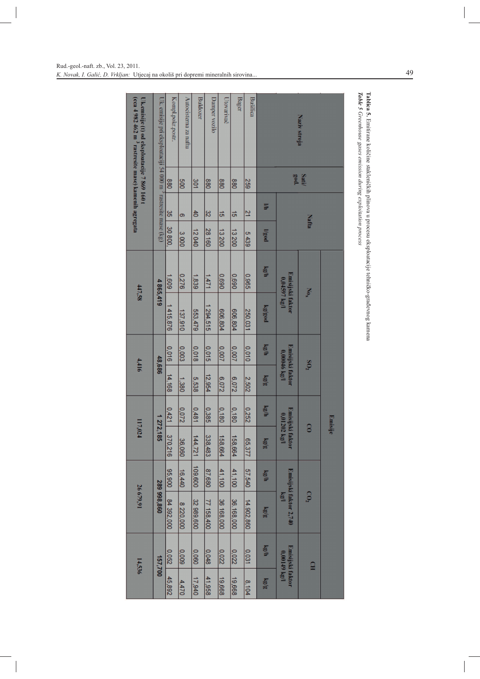| (cca 4 982 462 m 3 rastresite mase) kamenih agregata<br>Uk.emisije (t) od eksploatacije 7 869 160 t | Uk. emisije pri eksploataciji 54 000 m $^2$ rastresite mase (kg) | Kompl.pokr.postr. | Autocisterna za nattu | <b>Buldozer</b> | Damper vozilo | Utovarivač | <b>Bager</b> | Bušilica     | Naziv stroja  |                                     |                |  |                          |  |  |  |                 |  |
|-----------------------------------------------------------------------------------------------------|------------------------------------------------------------------|-------------------|-----------------------|-----------------|---------------|------------|--------------|--------------|---------------|-------------------------------------|----------------|--|--------------------------|--|--|--|-----------------|--|
|                                                                                                     |                                                                  | 880               | 009                   | 301             | 880           | 880        | 880          | <b>259</b>   |               | Satill<br>god.                      |                |  |                          |  |  |  |                 |  |
|                                                                                                     |                                                                  | 8                 | ō                     | $rac{4}{5}$     | 3             | <u>ត</u>   | ਕ            | 21           | 14            | <b>Nafta</b>                        |                |  |                          |  |  |  |                 |  |
|                                                                                                     |                                                                  | 30 800.           | 3000                  | 12040           | 28 160        | 13200      | 13200        | 5439         | $\log$        |                                     |                |  |                          |  |  |  |                 |  |
| 447.58                                                                                              | 4 865,419                                                        | 1,609             | 0.276                 | 1,839           | 1/47          | 0690       | 069'0        | <b>996°0</b> | kg/h          | Emisijski faktor<br>$0.04597$ kg/l  | $N_{0_X}$      |  |                          |  |  |  |                 |  |
|                                                                                                     |                                                                  | 1415,876          | 137,910               | 553,479         | 1 294,515     | 606,804    | 606,804      | 250,031      | logg          |                                     |                |  |                          |  |  |  |                 |  |
|                                                                                                     | 48,686                                                           | 0,016             | 0,003                 | 0,018           | 0,015         | 0.007      | 0.007        | 0.010        | $\log/h$      | Emisijski faktor<br>0,00046 kg/l    |                |  |                          |  |  |  | $\mathrm{SO}_2$ |  |
| 4,416                                                                                               |                                                                  | 14,168            | 1,380                 | 5,538           | 12,954        | 6,072      | S,072        | 2,502        | kg/g          |                                     |                |  |                          |  |  |  |                 |  |
|                                                                                                     |                                                                  | 0.421             | 2200                  | 18481           | 0,385         | 0,180      | 0.180        | 0.252        | $k g/h$       |                                     |                |  | <b>Emisije</b>           |  |  |  |                 |  |
| 117,024                                                                                             | 1 272,185                                                        | 370,216           | 36,060                | 144,721         | 338,483       | 158,664    | 158,664      | 65,377       | $\frac{1}{2}$ | Emisijski faktor<br>$0.01202$ kg/l  | $\overline{c}$ |  |                          |  |  |  |                 |  |
|                                                                                                     |                                                                  | 35,900            | 16,440                | 109,600         | 87,680        | 41,100     | 41,100       | 57,540       | kg/h          | Emisijski faktor 2,740<br>$V^{(n)}$ |                |  | $\mathbf{C}\mathbf{O}_2$ |  |  |  |                 |  |
| 26 679,91                                                                                           | 289 998,860                                                      | 84 392,000        | 8 220,000             | 32 989,600      | 77 158,400    | 36 168,000 | 36.168,000   | 14.902,860   | $kgl_{5}$     |                                     |                |  |                          |  |  |  |                 |  |
| 14.536                                                                                              | 157,700                                                          | 0.052             | 0,009                 | 0.060           | 0,048         | 0,022      | 0,022        | 0,031        | kg/h          |                                     |                |  |                          |  |  |  |                 |  |
|                                                                                                     |                                                                  | 45,892            | 4,470                 | 17,940          | 41,958        | 19,668     | 19,668       | 8,104        | 商店            | Emisijski faktor<br>$0.00149$ kg/l  | $\Xi$          |  |                          |  |  |  |                 |  |

**Tablica 5.** Emitirane količine stakleničkih plinova u procesu eksploatacije tehničko-građevnog kamena<br>*Table 5 Greenhouse gases emission during exploitation process* 

Rud.-geol.-naft. zb., Vol. 23, 2011. K. Novak, I. Galić, D. Vrkljan: Utjecaj na okoliš pri dopremi mineralnih sirovina...

 $\overline{\phantom{a}}$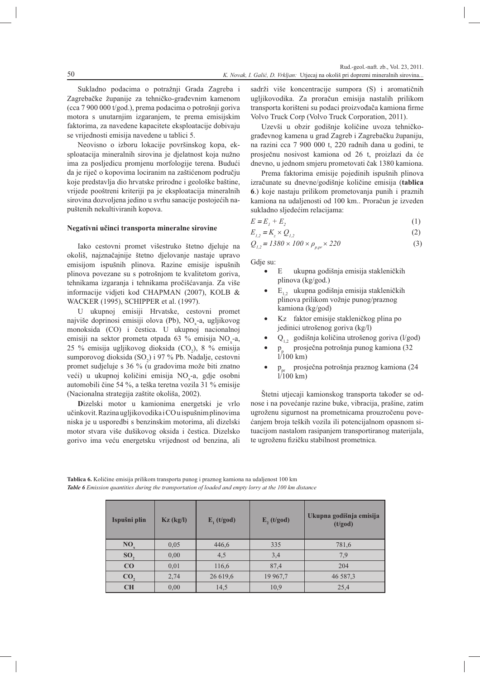Sukladno podacima o potražnji Grada Zagreba i Zagrebačke županije za tehničko-građevnim kamenom  $(\text{cca } 7900000 t/god.), \text{ prema podacima o potrošnji goriva}$ motora s unutarnjim izgaranjem, te prema emisijskim faktorima, za navedene kapacitete eksploatacije dobivaju se vrijednosti emisija navedene u tablici 5.

Neovisno o izboru lokacije površinskog kopa, eksploatacija mineralnih sirovina je djelatnost koja nužno ima za posljedicu promjenu morfologije terena. Budući da je riječ o kopovima lociranim na zaštićenom području koje predstavlja dio hrvatske prirodne i geološke baštine, vrijede pooštreni kriteriji pa je eksploatacija mineralnih sirovina dozvoljena jedino u svrhu sanacije postojećih napuštenih nekultiviranih kopova.

#### Negativni učinci transporta mineralne sirovine

Iako cestovni promet višestruko štetno djeluje na okoliš, najznačajnije štetno djelovanje nastaje upravo emisijom ispušnih plinova. Razine emisije ispušnih plinova povezane su s potrošnjom te kvalitetom goriva, tehnikama izgaranja i tehnikama pročišćavanja. Za više informacije vidjeti kod CHAPMAN (2007), KOLB & WACKER (1995), SCHIPPER et al. (1997).

U ukupnoj emisiji Hrvatske, cestovni promet najviše doprinosi emisiji olova (Pb), NO -a, ugljikovog monoksida (CO) i čestica. U ukupnoj nacionalnoj emisiji na sektor prometa otpada 63 % emisija NO<sub>-</sub>-a, 25 % emisija ugljikovog dioksida (CO<sub>2</sub>), 8 % emisija sumporovog dioksida (SO2) i 97 % Pb. Nadalje, cestovni promet sudjeluje s 36 % (u gradovima može biti znatno veći) u ukupnoj količini emisija NO -a, gdje osobni automobili čine 54 %, a teška teretna vozila 31 % emisije (Nacionalna strategija zaštite okoliša, 2002).

Dizelski motor u kamionima energetski je vrlo učinkovit. Razina ugljikovodika i CO u ispušnim plinovima niska je u usporedbi s benzinskim motorima, ali dizelski motor stvara više dušikovog oksida i čestica. Dizelsko gorivo ima veću energetsku vrijednost od benzina, ali

sadrži više koncentracije sumpora (S) i aromatičnih ugljikovodika. Za proračun emisija nastalih prilikom transporta korišteni su podaci proizvođača kamiona firme Volvo Truck Corp (Volvo Truck Corporation, 2011).

Uzevši u obzir godišnje količine uvoza tehničkograđevnog kamena u grad Zagreb i Zagrebačku županiju, na razini cca 7 900 000 t, 220 radnih dana u godini, te prosječnu nosivost kamiona od 26 t, proizlazi da će dnevno, u jednom smjeru prometovati čak 1380 kamiona.

Prema faktorima emisije pojedinih ispušnih plinova izračunate su dnevne/godišnje količine emisija (tablica 6.) koje nastaju prilikom prometovanja punih i praznih kamiona na udaljenosti od 100 km.. Proračun je izveden sukladno sljedećim relacijama:

$$
E = E_1 + E_2 \tag{1}
$$

$$
E_{1,2} = K_z \times Q_{1,2} \tag{2}
$$

$$
Q_{1,2} = 1380 \times 100 \times \rho_{p,pr} \times 220
$$
 (3)

Gdje su:

- $\mathbf{E}$ ukupna godišnja emisija stakleničkih plinova (kg/god.)
- E<sub>12</sub> ukupna godišnja emisija stakleničkih plinova prilikom vožnje punog/praznog kamiona (kg/god)
- Kz faktor emisije stakleničkog plina po jedinici utrošenog goriva (kg/l)
- $Q_{1,2}$  godišnja količina utrošenog goriva (l/god)
- prosječna potrošnja punog kamiona (32  $1/100$  km)
- prosječna potrošnja praznog kamiona (24  $\bullet$  $p_{n}$  $1/100$  km)

Štetni utjecaji kamionskog transporta također se odnose i na povećanje razine buke, vibracija, prašine, zatim ugroženu sigurnost na prometnicama prouzročenu povećanjem broja teških vozila ili potencijalnom opasnom situacijom nastalom rasipanjem transportiranog materijala, te ugroženu fizičku stabilnost prometnica.

Tablica 6. Količine emisija prilikom transporta punog i praznog kamiona na udaljenost 100 km Table 6 Emission quantities during the transportation of loaded and empty lorry at the 100 km distance

| Ispušni plin    | $Kz$ (kg/l) | $E_1(t/god)$ | E, (t/god) | Ukupna godišnja emisija<br>(t/god) |
|-----------------|-------------|--------------|------------|------------------------------------|
| NO <sub>x</sub> | 0,05        | 446,6        | 335        | 781,6                              |
| SO <sub>2</sub> | 0,00        | 4,5          | 3,4        | 7.9                                |
| CO              | 0,01        | 116,6        | 87,4       | 204                                |
| CO <sub>2</sub> | 2,74        | 26 619,6     | 19 967,7   | 46 587,3                           |
| CH              | 0,00        | 14,5         | 10,9       | 25,4                               |

50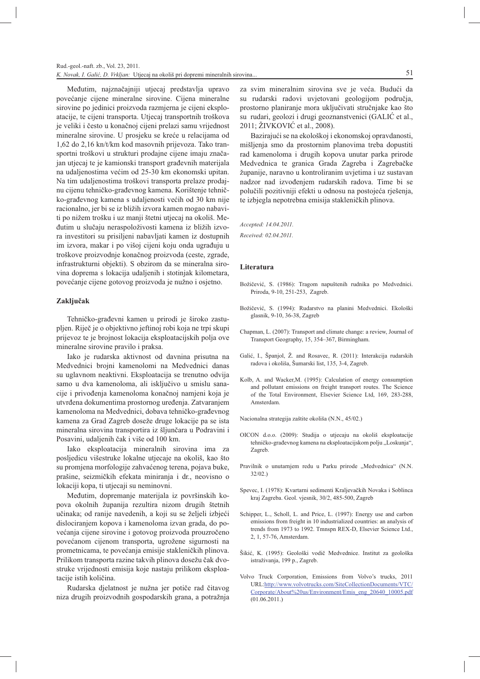Međutim, najznačajniji utjecaj predstavlja upravo povećanje cijene mineralne sirovine. Cijena mineralne sirovine po jedinici proizvoda razmjerna je cijeni eksploatacije, te cijeni transporta. Utjecaj transportnih troškova je veliki i često u konačnoj cijeni prelazi samu vrijednost mineralne sirovine. U prosjeku se kreće u relacijama od 1,62 do 2,16 kn/t/km kod masovnih prijevoza. Tako transportni troškovi u strukturi prodajne cijene imaju značajan utjecaj te je kamionski transport građevnih materijala na udaljenostima većim od 25-30 km ekonomski upitan. Na tim udaljenostima troškovi transporta prelaze prodajnu cijenu tehničko-građevnog kamena. Korištenje tehničko-građevnog kamena s udaljenosti većih od 30 km nije racionalno, jer bi se iz bližih izvora kamen mogao nabaviti po nižem trošku i uz manji štetni utjecaj na okoliš. Međutim u slučaju neraspoloživosti kamena iz bližih izvora investitori su prisiljeni nabavljati kamen iz dostupnih im izvora, makar i po višoj cijeni koju onda ugrađuju u troškove proizvodnje konačnog proizvoda (ceste, zgrade, infrastrukturni objekti). S obzirom da se mineralna sirovina doprema s lokacija udaljenih i stotinjak kilometara, povećanje cijene gotovog proizvoda je nužno i osjetno.

#### Zaključak

Tehničko-građevni kamen u prirodi je široko zastupljen. Riječ je o objektivno jeftinoj robi koja ne trpi skupi prijevoz te je brojnost lokacija eksploatacijskih polja ove mineralne sirovine pravilo i praksa.

Iako je rudarska aktivnost od davnina prisutna na Medvednici brojni kamenolomi na Medvednici danas su uglavnom neaktivni. Eksploatacija se trenutno odvija samo u dva kamenoloma, ali isključivo u smislu sanacije i privođenja kamenoloma konačnoj namjeni koja je utvrđena dokumentima prostornog uređenja. Zatvaranjem kamenoloma na Medvednici, dobava tehničko-građevnog kamena za Grad Zagreb doseže druge lokacije pa se ista mineralna sirovina transportira iz šliunčara u Podravini i Posavini, udaljenih čak i više od 100 km.

Iako eksploatacija mineralnih sirovina ima za posljedicu višestruke lokalne utjecaje na okoliš, kao što su promjena morfologije zahvaćenog terena, pojava buke, prašine, seizmičkih efekata miniranja i dr., neovisno o lokaciji kopa, ti utjecaji su neminovni.

Međutim, dopremanje materijala iz površinskih kopova okolnih županija rezultira nizom drugih štetnih učinaka; od ranije navedenih, a koji su se željeli izbjeći dislociranjem kopova i kamenoloma izvan grada, do povećanja cijene sirovine i gotovog proizvoda prouzročeno povećanom cijenom transporta, ugrožene sigurnosti na prometnicama, te povećanja emisije stakleničkih plinova. Prilikom transporta razine takvih plinova dosežu čak dvostruke vrijednosti emisija koje nastaju prilikom eksploatacije istih količina.

Rudarska djelatnost je nužna jer potiče rad čitavog niza drugih proizvodnih gospodarskih grana, a potražnja za svim mineralnim sirovina sve je veća. Budući da su rudarski radovi uvjetovani geologijom područja, prostorno planiranje mora uključivati stručnjake kao što su rudari, geolozi i drugi geoznanstvenici (GALIĆ et al., 2011; ŽIVKOVIĆ et al., 2008).

Bazirajući se na ekološkoj i ekonomskoj opravdanosti, mišljenja smo da prostornim planovima treba dopustiti rad kamenoloma i drugih kopova unutar parka prirode Medvednica te granica Grada Zagreba i Zagrebačke županije, naravno u kontroliranim uvjetima i uz sustavan nadzor nad izvođenjem rudarskih radova. Time bi se polučili pozitivniji efekti u odnosu na postojeća rješenja, te izbjegla nepotrebna emisija stakleničkih plinova.

Accepted: 14.04.2011.

Received: 02.04.2011.

#### Literatura

- Božičević, S. (1986): Tragom napuštenih rudnika po Medvednici. Priroda, 9-10, 251-253, Zagreb.
- Božičević, S. (1994): Rudarstvo na planini Medvednici. Ekološki glasnik 9-10 36-38 Zagreb
- Chapman, L. (2007): Transport and climate change: a review, Journal of Transport Geography, 15, 354-367, Birmingham.
- Galić, L. Španiol, Ž. and Rosavec, R. (2011): Interakcija rudarskih radova i okoliša, Šumarski list, 135, 3-4, Zagreb.
- Kolb, A. and Wacker, M. (1995): Calculation of energy consumption and pollutant emissions on freight transport routes. The Science of the Total Environment Elsevier Science Ltd 169 283-288 Amsterdam.
- Nacionalna strategija zaštite okoliša (N.N., 45/02.)
- OICON d.o.o. (2009): Studija o utjecaju na okoliš eksploatacije tehničko-građevnog kamena na eksploatacijskom polju "Loskunja", Zagreb.
- Pravilnik o unutarnjem redu u Parku prirode "Medvednica" (N.N.  $32/02.$
- Spevec, I. (1978): Kvartarni sedimenti Kraljevačkih Novaka i Soblinca kraj Zagreba. Geol. vjesnik, 30/2, 485-500, Zagreb
- Schipper, L., Scholl, L. and Price, L. (1997): Energy use and carbon emissions from freight in 10 industrialized countries: an analysis of trends from 1973 to 1992. Tmnspn REX-D, Elsevier Science Ltd., 2, 1, 57-76, Amsterdam.
- Šikić. K. (1995): Geološki vodič Medvednice. Institut za geološka istraživanja, 199 p., Zagreb.
- Volvo Truck Corporation, Emissions from Volvo's trucks, 2011 URL:http://www.volvotrucks.com/SiteCollectionDocuments/VTC/ Corporate/About%20us/Environment/Emis\_eng\_20640\_10005.pdf  $(01.06.2011.)$